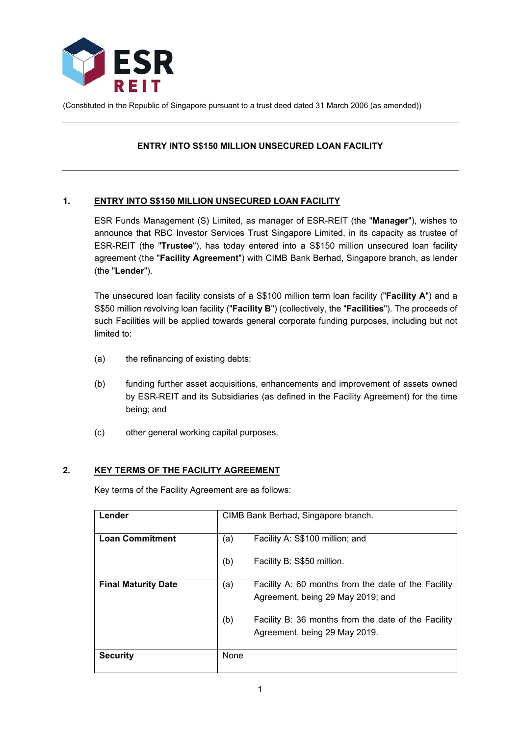

(Constituted in the Republic of Singapore pursuant to a trust deed dated 31 March 2006 (as amended))

## **ENTRY INTO S\$150 MILLION UNSECURED LOAN FACILITY**

## **1. ENTRY INTO S\$150 MILLION UNSECURED LOAN FACILITY**

ESR Funds Management (S) Limited, as manager of ESR-REIT (the "**Manager**"), wishes to announce that RBC Investor Services Trust Singapore Limited, in its capacity as trustee of ESR-REIT (the "**Trustee**"), has today entered into a S\$150 million unsecured loan facility agreement (the "**Facility Agreement**") with CIMB Bank Berhad, Singapore branch, as lender (the "**Lender**").

The unsecured loan facility consists of a S\$100 million term loan facility ("**Facility A**") and a S\$50 million revolving loan facility ("**Facility B**") (collectively, the "**Facilities**"). The proceeds of such Facilities will be applied towards general corporate funding purposes, including but not limited to:

- (a) the refinancing of existing debts;
- (b) funding further asset acquisitions, enhancements and improvement of assets owned by ESR-REIT and its Subsidiaries (as defined in the Facility Agreement) for the time being; and
- (c) other general working capital purposes.

## **2. KEY TERMS OF THE FACILITY AGREEMENT**

Key terms of the Facility Agreement are as follows:

| Lender                     |      | CIMB Bank Berhad, Singapore branch.                 |
|----------------------------|------|-----------------------------------------------------|
| <b>Loan Commitment</b>     | (a)  | Facility A: S\$100 million; and                     |
|                            | (b)  | Facility B: S\$50 million.                          |
| <b>Final Maturity Date</b> | (a)  | Facility A: 60 months from the date of the Facility |
|                            |      | Agreement, being 29 May 2019; and                   |
|                            | (b)  | Facility B: 36 months from the date of the Facility |
|                            |      | Agreement, being 29 May 2019.                       |
|                            |      |                                                     |
| <b>Security</b>            | None |                                                     |
|                            |      |                                                     |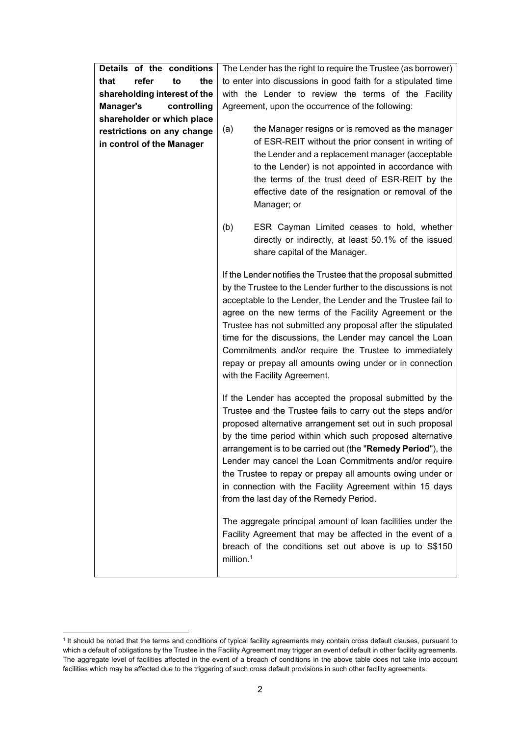| Details of the conditions       | The Lender has the right to require the Trustee (as borrower)                                                                                                                                                                                                                                                                                                                                                                                                                                                                                                                                                                                                                                                                                                                                                                                                                                                                                                                                                                                                                                |  |
|---------------------------------|----------------------------------------------------------------------------------------------------------------------------------------------------------------------------------------------------------------------------------------------------------------------------------------------------------------------------------------------------------------------------------------------------------------------------------------------------------------------------------------------------------------------------------------------------------------------------------------------------------------------------------------------------------------------------------------------------------------------------------------------------------------------------------------------------------------------------------------------------------------------------------------------------------------------------------------------------------------------------------------------------------------------------------------------------------------------------------------------|--|
| refer<br>the<br>that<br>to      | to enter into discussions in good faith for a stipulated time                                                                                                                                                                                                                                                                                                                                                                                                                                                                                                                                                                                                                                                                                                                                                                                                                                                                                                                                                                                                                                |  |
| shareholding interest of the    | with the Lender to review the terms of the Facility                                                                                                                                                                                                                                                                                                                                                                                                                                                                                                                                                                                                                                                                                                                                                                                                                                                                                                                                                                                                                                          |  |
| <b>Manager's</b><br>controlling | Agreement, upon the occurrence of the following:                                                                                                                                                                                                                                                                                                                                                                                                                                                                                                                                                                                                                                                                                                                                                                                                                                                                                                                                                                                                                                             |  |
| shareholder or which place      |                                                                                                                                                                                                                                                                                                                                                                                                                                                                                                                                                                                                                                                                                                                                                                                                                                                                                                                                                                                                                                                                                              |  |
| restrictions on any change      | (a)<br>the Manager resigns or is removed as the manager                                                                                                                                                                                                                                                                                                                                                                                                                                                                                                                                                                                                                                                                                                                                                                                                                                                                                                                                                                                                                                      |  |
| in control of the Manager       | of ESR-REIT without the prior consent in writing of<br>the Lender and a replacement manager (acceptable<br>to the Lender) is not appointed in accordance with<br>the terms of the trust deed of ESR-REIT by the<br>effective date of the resignation or removal of the<br>Manager; or                                                                                                                                                                                                                                                                                                                                                                                                                                                                                                                                                                                                                                                                                                                                                                                                        |  |
|                                 | ESR Cayman Limited ceases to hold, whether<br>(b)<br>directly or indirectly, at least 50.1% of the issued<br>share capital of the Manager.                                                                                                                                                                                                                                                                                                                                                                                                                                                                                                                                                                                                                                                                                                                                                                                                                                                                                                                                                   |  |
|                                 | If the Lender notifies the Trustee that the proposal submitted<br>by the Trustee to the Lender further to the discussions is not<br>acceptable to the Lender, the Lender and the Trustee fail to<br>agree on the new terms of the Facility Agreement or the<br>Trustee has not submitted any proposal after the stipulated<br>time for the discussions, the Lender may cancel the Loan<br>Commitments and/or require the Trustee to immediately<br>repay or prepay all amounts owing under or in connection<br>with the Facility Agreement.<br>If the Lender has accepted the proposal submitted by the<br>Trustee and the Trustee fails to carry out the steps and/or<br>proposed alternative arrangement set out in such proposal<br>by the time period within which such proposed alternative<br>arrangement is to be carried out (the "Remedy Period"), the<br>Lender may cancel the Loan Commitments and/or require<br>the Trustee to repay or prepay all amounts owing under or<br>in connection with the Facility Agreement within 15 days<br>from the last day of the Remedy Period. |  |
|                                 |                                                                                                                                                                                                                                                                                                                                                                                                                                                                                                                                                                                                                                                                                                                                                                                                                                                                                                                                                                                                                                                                                              |  |
|                                 | The aggregate principal amount of loan facilities under the<br>Facility Agreement that may be affected in the event of a<br>breach of the conditions set out above is up to S\$150<br>million. $1$                                                                                                                                                                                                                                                                                                                                                                                                                                                                                                                                                                                                                                                                                                                                                                                                                                                                                           |  |

 1 It should be noted that the terms and conditions of typical facility agreements may contain cross default clauses, pursuant to which a default of obligations by the Trustee in the Facility Agreement may trigger an event of default in other facility agreements. The aggregate level of facilities affected in the event of a breach of conditions in the above table does not take into account facilities which may be affected due to the triggering of such cross default provisions in such other facility agreements.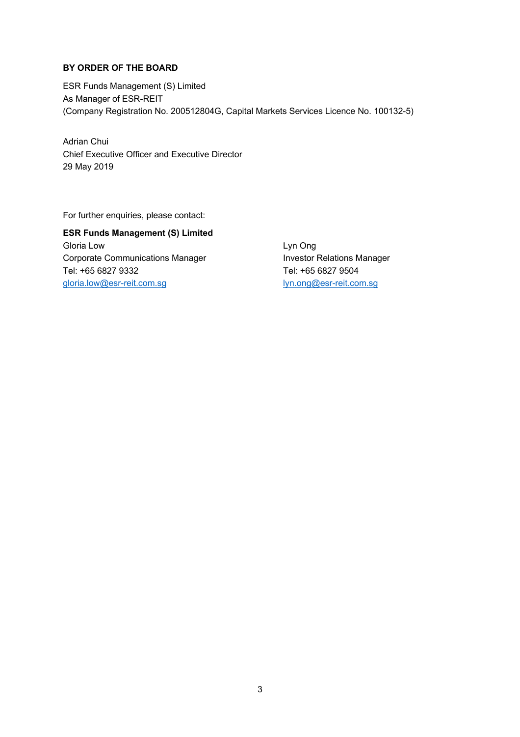# **BY ORDER OF THE BOARD**

ESR Funds Management (S) Limited As Manager of ESR-REIT (Company Registration No. 200512804G, Capital Markets Services Licence No. 100132-5)

Adrian Chui Chief Executive Officer and Executive Director 29 May 2019

For further enquiries, please contact:

**ESR Funds Management (S) Limited** Gloria Low **Contract Contract Contract Contract Contract Contract Contract Contract Contract Contract Contract Contract Contract Contract Contract Contract Contract Contract Contract Contract Contract Contract Contract Con** Corporate Communications Manager **Investor Relations Manager** Tel: +65 6827 9332 Tel: +65 6827 9504 gloria.low@esr-reit.com.sg lyn.ong@esr-reit.com.sg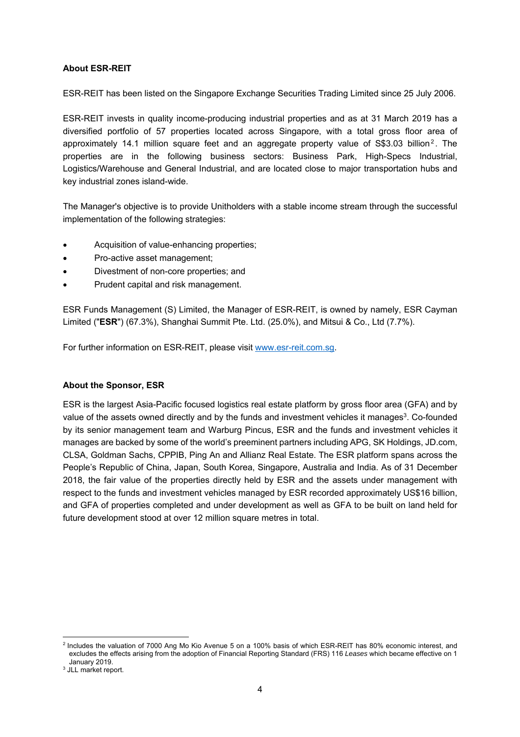# **About ESR-REIT**

ESR-REIT has been listed on the Singapore Exchange Securities Trading Limited since 25 July 2006.

ESR-REIT invests in quality income-producing industrial properties and as at 31 March 2019 has a diversified portfolio of 57 properties located across Singapore, with a total gross floor area of approximately 14.1 million square feet and an aggregate property value of S\$3.03 billion<sup>2</sup>. The properties are in the following business sectors: Business Park, High-Specs Industrial, Logistics/Warehouse and General Industrial, and are located close to major transportation hubs and key industrial zones island-wide.

The Manager's objective is to provide Unitholders with a stable income stream through the successful implementation of the following strategies:

- Acquisition of value-enhancing properties;
- Pro-active asset management;
- Divestment of non-core properties; and
- Prudent capital and risk management.

ESR Funds Management (S) Limited, the Manager of ESR-REIT, is owned by namely, ESR Cayman Limited ("**ESR**") (67.3%), Shanghai Summit Pte. Ltd. (25.0%), and Mitsui & Co., Ltd (7.7%).

For further information on ESR-REIT, please visit www.esr-reit.com.sg.

## **About the Sponsor, ESR**

ESR is the largest Asia-Pacific focused logistics real estate platform by gross floor area (GFA) and by value of the assets owned directly and by the funds and investment vehicles it manages<sup>3</sup>. Co-founded by its senior management team and Warburg Pincus, ESR and the funds and investment vehicles it manages are backed by some of the world's preeminent partners including APG, SK Holdings, JD.com, CLSA, Goldman Sachs, CPPIB, Ping An and Allianz Real Estate. The ESR platform spans across the People's Republic of China, Japan, South Korea, Singapore, Australia and India. As of 31 December 2018, the fair value of the properties directly held by ESR and the assets under management with respect to the funds and investment vehicles managed by ESR recorded approximately US\$16 billion, and GFA of properties completed and under development as well as GFA to be built on land held for future development stood at over 12 million square metres in total.

 2 Includes the valuation of 7000 Ang Mo Kio Avenue 5 on a 100% basis of which ESR-REIT has 80% economic interest, and excludes the effects arising from the adoption of Financial Reporting Standard (FRS) 116 *Leases* which became effective on 1

January 2019.<br><sup>3</sup> JLL market report.